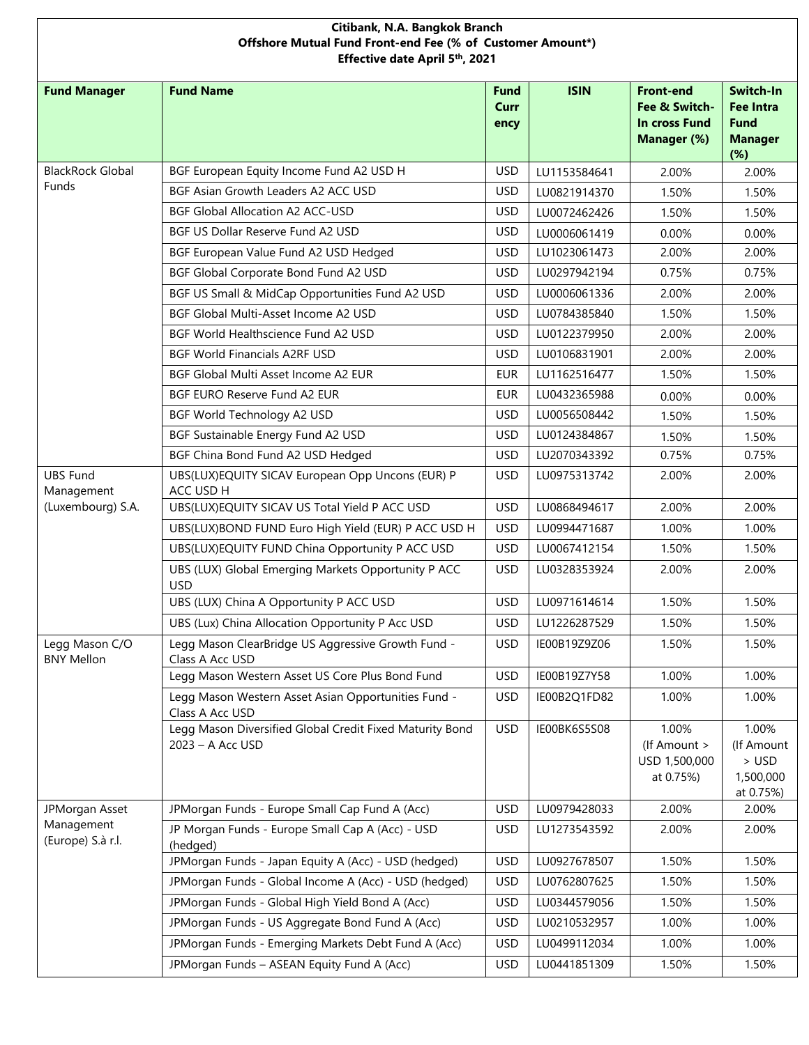| Citibank, N.A. Bangkok Branch<br>Offshore Mutual Fund Front-end Fee (% of Customer Amount*)<br>Effective date April 5th, 2021 |                                                                              |                      |              |                                                                   |                                                                       |  |  |
|-------------------------------------------------------------------------------------------------------------------------------|------------------------------------------------------------------------------|----------------------|--------------|-------------------------------------------------------------------|-----------------------------------------------------------------------|--|--|
| <b>Fund Manager</b>                                                                                                           | <b>Fund Name</b>                                                             | Fund<br>Curr<br>ency | <b>ISIN</b>  | <b>Front-end</b><br>Fee & Switch-<br>In cross Fund<br>Manager (%) | Switch-In<br><b>Fee Intra</b><br><b>Fund</b><br><b>Manager</b><br>(%) |  |  |
| <b>BlackRock Global</b>                                                                                                       | BGF European Equity Income Fund A2 USD H                                     | <b>USD</b>           | LU1153584641 | 2.00%                                                             | 2.00%                                                                 |  |  |
| <b>Funds</b>                                                                                                                  | BGF Asian Growth Leaders A2 ACC USD                                          | <b>USD</b>           | LU0821914370 | 1.50%                                                             | 1.50%                                                                 |  |  |
|                                                                                                                               | <b>BGF Global Allocation A2 ACC-USD</b>                                      | <b>USD</b>           | LU0072462426 | 1.50%                                                             | 1.50%                                                                 |  |  |
|                                                                                                                               | BGF US Dollar Reserve Fund A2 USD                                            | <b>USD</b>           | LU0006061419 | 0.00%                                                             | 0.00%                                                                 |  |  |
|                                                                                                                               | BGF European Value Fund A2 USD Hedged                                        | <b>USD</b>           | LU1023061473 | 2.00%                                                             | 2.00%                                                                 |  |  |
|                                                                                                                               | BGF Global Corporate Bond Fund A2 USD                                        | <b>USD</b>           | LU0297942194 | 0.75%                                                             | 0.75%                                                                 |  |  |
|                                                                                                                               | BGF US Small & MidCap Opportunities Fund A2 USD                              | <b>USD</b>           | LU0006061336 | 2.00%                                                             | 2.00%                                                                 |  |  |
|                                                                                                                               | BGF Global Multi-Asset Income A2 USD                                         | <b>USD</b>           | LU0784385840 | 1.50%                                                             | 1.50%                                                                 |  |  |
|                                                                                                                               | BGF World Healthscience Fund A2 USD                                          | <b>USD</b>           | LU0122379950 | 2.00%                                                             | 2.00%                                                                 |  |  |
|                                                                                                                               | <b>BGF World Financials A2RF USD</b>                                         | <b>USD</b>           | LU0106831901 | 2.00%                                                             | 2.00%                                                                 |  |  |
|                                                                                                                               | BGF Global Multi Asset Income A2 EUR                                         | <b>EUR</b>           | LU1162516477 | 1.50%                                                             | 1.50%                                                                 |  |  |
|                                                                                                                               | <b>BGF EURO Reserve Fund A2 EUR</b>                                          | <b>EUR</b>           | LU0432365988 | 0.00%                                                             | 0.00%                                                                 |  |  |
|                                                                                                                               | BGF World Technology A2 USD                                                  | <b>USD</b>           | LU0056508442 | 1.50%                                                             | 1.50%                                                                 |  |  |
|                                                                                                                               | BGF Sustainable Energy Fund A2 USD                                           | <b>USD</b>           | LU0124384867 | 1.50%                                                             | 1.50%                                                                 |  |  |
|                                                                                                                               | BGF China Bond Fund A2 USD Hedged                                            | <b>USD</b>           | LU2070343392 | 0.75%                                                             | 0.75%                                                                 |  |  |
| <b>UBS Fund</b><br>Management                                                                                                 | UBS(LUX)EQUITY SICAV European Opp Uncons (EUR) P<br>ACC USD H                | <b>USD</b>           | LU0975313742 | 2.00%                                                             | 2.00%                                                                 |  |  |
| (Luxembourg) S.A.                                                                                                             | UBS(LUX)EQUITY SICAV US Total Yield P ACC USD                                | <b>USD</b>           | LU0868494617 | 2.00%                                                             | 2.00%                                                                 |  |  |
|                                                                                                                               | UBS(LUX)BOND FUND Euro High Yield (EUR) P ACC USD H                          | <b>USD</b>           | LU0994471687 | 1.00%                                                             | 1.00%                                                                 |  |  |
|                                                                                                                               | UBS(LUX)EQUITY FUND China Opportunity P ACC USD                              | <b>USD</b>           | LU0067412154 | 1.50%                                                             | 1.50%                                                                 |  |  |
|                                                                                                                               | UBS (LUX) Global Emerging Markets Opportunity P ACC<br><b>USD</b>            | <b>USD</b>           | LU0328353924 | 2.00%                                                             | 2.00%                                                                 |  |  |
|                                                                                                                               | UBS (LUX) China A Opportunity P ACC USD                                      | <b>USD</b>           | LU0971614614 | 1.50%                                                             | 1.50%                                                                 |  |  |
|                                                                                                                               | UBS (Lux) China Allocation Opportunity P Acc USD                             | <b>USD</b>           | LU1226287529 | 1.50%                                                             | 1.50%                                                                 |  |  |
| Legg Mason C/O<br><b>BNY Mellon</b>                                                                                           | Legg Mason ClearBridge US Aggressive Growth Fund -<br>Class A Acc USD        | <b>USD</b>           | IE00B19Z9Z06 | 1.50%                                                             | 1.50%                                                                 |  |  |
|                                                                                                                               | Legg Mason Western Asset US Core Plus Bond Fund                              | <b>USD</b>           | IE00B19Z7Y58 | 1.00%                                                             | 1.00%                                                                 |  |  |
|                                                                                                                               | Legg Mason Western Asset Asian Opportunities Fund -<br>Class A Acc USD       | <b>USD</b>           | IE00B2Q1FD82 | 1.00%                                                             | 1.00%                                                                 |  |  |
|                                                                                                                               | Legg Mason Diversified Global Credit Fixed Maturity Bond<br>2023 - A Acc USD | <b>USD</b>           | IE00BK6S5S08 | 1.00%<br>(If Amount ><br>USD 1,500,000<br>at 0.75%)               | 1.00%<br>(If Amount<br>$>$ USD<br>1,500,000<br>at 0.75%)              |  |  |
| JPMorgan Asset                                                                                                                | JPMorgan Funds - Europe Small Cap Fund A (Acc)                               | <b>USD</b>           | LU0979428033 | 2.00%                                                             | 2.00%                                                                 |  |  |
| Management<br>(Europe) S.à r.l.                                                                                               | JP Morgan Funds - Europe Small Cap A (Acc) - USD<br>(hedged)                 | <b>USD</b>           | LU1273543592 | 2.00%                                                             | 2.00%                                                                 |  |  |
|                                                                                                                               | JPMorgan Funds - Japan Equity A (Acc) - USD (hedged)                         | <b>USD</b>           | LU0927678507 | 1.50%                                                             | 1.50%                                                                 |  |  |
|                                                                                                                               | JPMorgan Funds - Global Income A (Acc) - USD (hedged)                        | <b>USD</b>           | LU0762807625 | 1.50%                                                             | 1.50%                                                                 |  |  |
|                                                                                                                               | JPMorgan Funds - Global High Yield Bond A (Acc)                              | <b>USD</b>           | LU0344579056 | 1.50%                                                             | 1.50%                                                                 |  |  |
|                                                                                                                               | JPMorgan Funds - US Aggregate Bond Fund A (Acc)                              | <b>USD</b>           | LU0210532957 | 1.00%                                                             | 1.00%                                                                 |  |  |
|                                                                                                                               | JPMorgan Funds - Emerging Markets Debt Fund A (Acc)                          | <b>USD</b>           | LU0499112034 | 1.00%                                                             | 1.00%                                                                 |  |  |
|                                                                                                                               | JPMorgan Funds - ASEAN Equity Fund A (Acc)                                   | <b>USD</b>           | LU0441851309 | 1.50%                                                             | 1.50%                                                                 |  |  |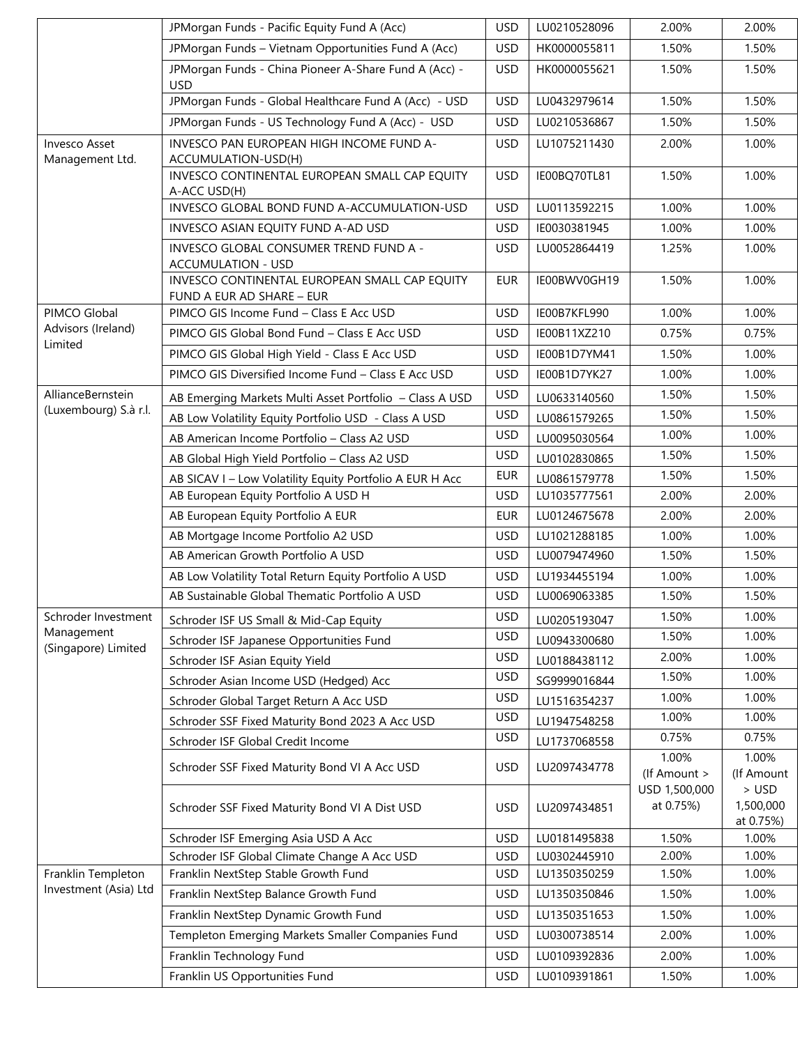|                                  | JPMorgan Funds - Pacific Equity Fund A (Acc)                               | <b>USD</b> | LU0210528096 | 2.00%                      | 2.00%                             |
|----------------------------------|----------------------------------------------------------------------------|------------|--------------|----------------------------|-----------------------------------|
|                                  | JPMorgan Funds - Vietnam Opportunities Fund A (Acc)                        | <b>USD</b> | HK0000055811 | 1.50%                      | 1.50%                             |
|                                  | JPMorgan Funds - China Pioneer A-Share Fund A (Acc) -<br><b>USD</b>        | <b>USD</b> | HK0000055621 | 1.50%                      | 1.50%                             |
|                                  | JPMorgan Funds - Global Healthcare Fund A (Acc) - USD                      | <b>USD</b> | LU0432979614 | 1.50%                      | 1.50%                             |
|                                  | JPMorgan Funds - US Technology Fund A (Acc) - USD                          | <b>USD</b> | LU0210536867 | 1.50%                      | 1.50%                             |
| Invesco Asset<br>Management Ltd. | INVESCO PAN EUROPEAN HIGH INCOME FUND A-<br>ACCUMULATION-USD(H)            | <b>USD</b> | LU1075211430 | 2.00%                      | 1.00%                             |
|                                  | INVESCO CONTINENTAL EUROPEAN SMALL CAP EQUITY<br>A-ACC USD(H)              | <b>USD</b> | IE00BQ70TL81 | 1.50%                      | 1.00%                             |
|                                  | INVESCO GLOBAL BOND FUND A-ACCUMULATION-USD                                | <b>USD</b> | LU0113592215 | 1.00%                      | 1.00%                             |
|                                  | INVESCO ASIAN EQUITY FUND A-AD USD                                         | <b>USD</b> | IE0030381945 | 1.00%                      | 1.00%                             |
|                                  | INVESCO GLOBAL CONSUMER TREND FUND A -<br><b>ACCUMULATION - USD</b>        | <b>USD</b> | LU0052864419 | 1.25%                      | 1.00%                             |
|                                  | INVESCO CONTINENTAL EUROPEAN SMALL CAP EQUITY<br>FUND A EUR AD SHARE - EUR | <b>EUR</b> | IE00BWV0GH19 | 1.50%                      | 1.00%                             |
| PIMCO Global                     | PIMCO GIS Income Fund - Class E Acc USD                                    | <b>USD</b> | IE00B7KFL990 | 1.00%                      | 1.00%                             |
| Advisors (Ireland)<br>Limited    | PIMCO GIS Global Bond Fund - Class E Acc USD                               | <b>USD</b> | IE00B11XZ210 | 0.75%                      | 0.75%                             |
|                                  | PIMCO GIS Global High Yield - Class E Acc USD                              | <b>USD</b> | IE00B1D7YM41 | 1.50%                      | 1.00%                             |
|                                  | PIMCO GIS Diversified Income Fund - Class E Acc USD                        | <b>USD</b> | IE00B1D7YK27 | 1.00%                      | 1.00%                             |
| AllianceBernstein                | AB Emerging Markets Multi Asset Portfolio - Class A USD                    | <b>USD</b> | LU0633140560 | 1.50%                      | 1.50%                             |
| (Luxembourg) S.à r.l.            | AB Low Volatility Equity Portfolio USD - Class A USD                       | <b>USD</b> | LU0861579265 | 1.50%                      | 1.50%                             |
|                                  | AB American Income Portfolio - Class A2 USD                                | <b>USD</b> | LU0095030564 | 1.00%                      | 1.00%                             |
|                                  | AB Global High Yield Portfolio - Class A2 USD                              | <b>USD</b> | LU0102830865 | 1.50%                      | 1.50%                             |
|                                  | AB SICAV I - Low Volatility Equity Portfolio A EUR H Acc                   | <b>EUR</b> | LU0861579778 | 1.50%                      | 1.50%                             |
|                                  | AB European Equity Portfolio A USD H                                       | <b>USD</b> | LU1035777561 | 2.00%                      | 2.00%                             |
|                                  | AB European Equity Portfolio A EUR                                         | <b>EUR</b> | LU0124675678 | 2.00%                      | 2.00%                             |
|                                  | AB Mortgage Income Portfolio A2 USD                                        | <b>USD</b> | LU1021288185 | 1.00%                      | 1.00%                             |
|                                  | AB American Growth Portfolio A USD                                         | <b>USD</b> | LU0079474960 | 1.50%                      | 1.50%                             |
|                                  | AB Low Volatility Total Return Equity Portfolio A USD                      | <b>USD</b> | LU1934455194 | 1.00%                      | 1.00%                             |
|                                  | AB Sustainable Global Thematic Portfolio A USD                             | <b>USD</b> | LU0069063385 | 1.50%                      | 1.50%                             |
| Schroder Investment              | Schroder ISF US Small & Mid-Cap Equity                                     | <b>USD</b> | LU0205193047 | 1.50%                      | 1.00%                             |
| Management                       | Schroder ISF Japanese Opportunities Fund                                   | <b>USD</b> | LU0943300680 | 1.50%                      | 1.00%                             |
| (Singapore) Limited              | Schroder ISF Asian Equity Yield                                            | <b>USD</b> | LU0188438112 | 2.00%                      | 1.00%                             |
|                                  | Schroder Asian Income USD (Hedged) Acc                                     | <b>USD</b> | SG9999016844 | 1.50%                      | 1.00%                             |
|                                  | Schroder Global Target Return A Acc USD                                    | <b>USD</b> | LU1516354237 | 1.00%                      | 1.00%                             |
|                                  | Schroder SSF Fixed Maturity Bond 2023 A Acc USD                            | <b>USD</b> | LU1947548258 | 1.00%                      | 1.00%                             |
|                                  | Schroder ISF Global Credit Income                                          | <b>USD</b> | LU1737068558 | 0.75%                      | 0.75%                             |
|                                  | Schroder SSF Fixed Maturity Bond VI A Acc USD                              | <b>USD</b> | LU2097434778 | 1.00%<br>(If Amount >      | 1.00%<br>(If Amount               |
|                                  | Schroder SSF Fixed Maturity Bond VI A Dist USD                             | <b>USD</b> | LU2097434851 | USD 1,500,000<br>at 0.75%) | $>$ USD<br>1,500,000<br>at 0.75%) |
|                                  | Schroder ISF Emerging Asia USD A Acc                                       | <b>USD</b> | LU0181495838 | 1.50%                      | 1.00%                             |
|                                  | Schroder ISF Global Climate Change A Acc USD                               | <b>USD</b> | LU0302445910 | 2.00%                      | 1.00%                             |
| Franklin Templeton               | Franklin NextStep Stable Growth Fund                                       | <b>USD</b> | LU1350350259 | 1.50%                      | 1.00%                             |
| Investment (Asia) Ltd            | Franklin NextStep Balance Growth Fund                                      | <b>USD</b> | LU1350350846 | 1.50%                      | 1.00%                             |
|                                  | Franklin NextStep Dynamic Growth Fund                                      | <b>USD</b> | LU1350351653 | 1.50%                      | 1.00%                             |
|                                  | Templeton Emerging Markets Smaller Companies Fund                          | <b>USD</b> | LU0300738514 | 2.00%                      | 1.00%                             |
|                                  | Franklin Technology Fund                                                   | <b>USD</b> | LU0109392836 | 2.00%                      | 1.00%                             |
|                                  | Franklin US Opportunities Fund                                             | <b>USD</b> | LU0109391861 | 1.50%                      | 1.00%                             |